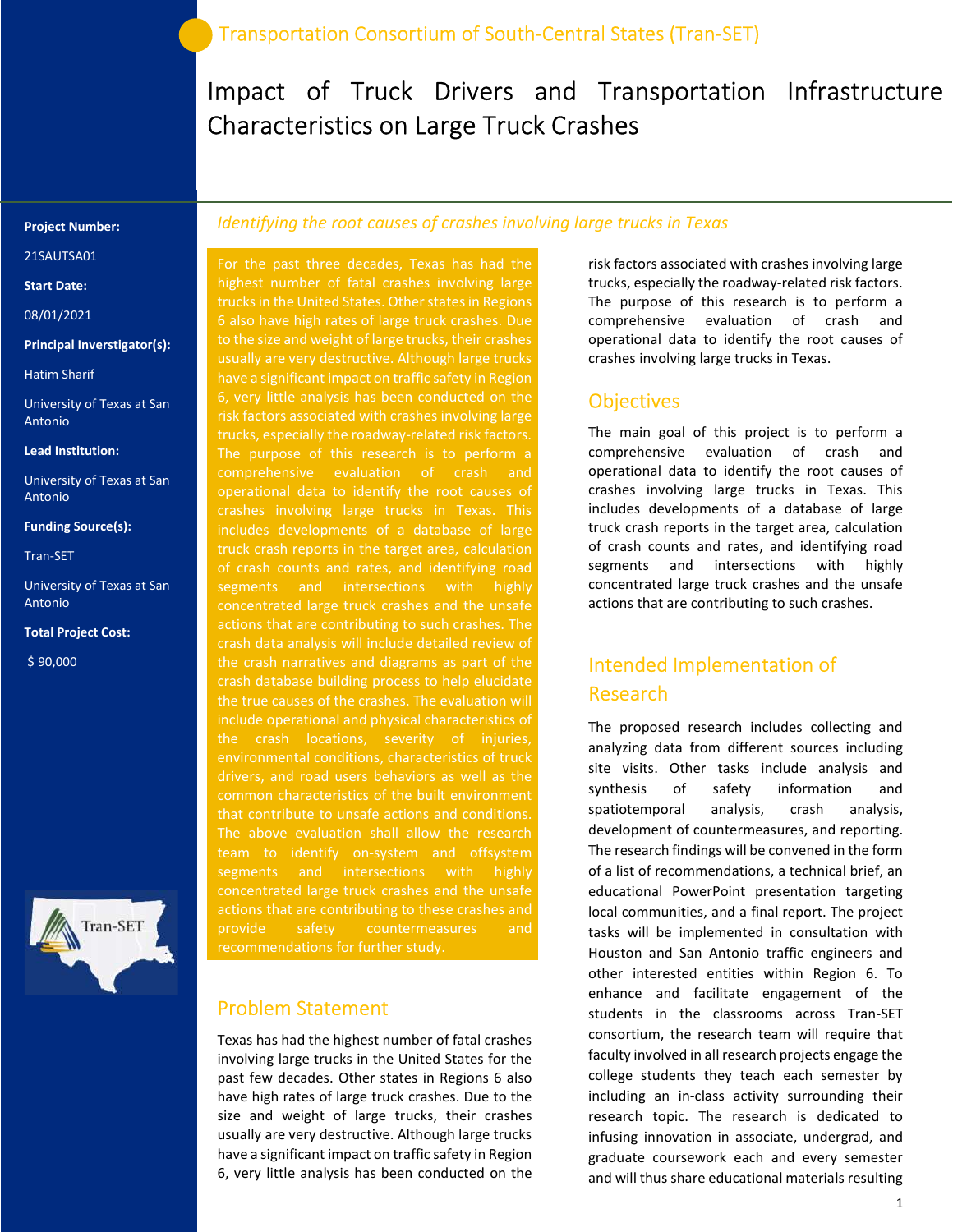# Impact of Truck Drivers and Transportation Infrastructure Characteristics on Large Truck Crashes

#### Project Number:

21SAUTSA01

#### Start Date:

08/01/2021

#### Principal Inverstigator(s):

Hatim Sharif

University of Texas at San Antonio

#### Lead Institution:

University of Texas at San Antonio

#### Funding Source(s):

Tran-SET

University of Texas at San Antonio

Total Project Cost:

\$ 90,000



### Identifying the root causes of crashes involving large trucks in Texas

highest number of fatal crashes involving large trucks in the United States. Other states in Regions 6 also have high rates of large truck crashes. Due to the size and weight of large trucks, their crashes usually are very destructive. Although large trucks have a significant impact on traffic safety in Region 6, very little analysis has been conducted on the risk factors associated with crashes involving large trucks, especially the roadway-related risk factors. comprehensive evaluation of crash and operational data to identify the root causes of crashes involving large trucks in Texas. This includes developments of a database of large truck crash reports in the target area, calculation of crash counts and rates, and identifying road segments and intersections with highly concentrated large truck crashes and the unsafe actions that are contributing to such crashes. The crash data analysis will include detailed review of the crash narratives and diagrams as part of the crash database building process to help elucidate the true causes of the crashes. The evaluation will the crash locations, severity of injuries, environmental conditions, characteristics of truck drivers, and road users behaviors as well as the common characteristics of the built environment that contribute to unsafe actions and conditions. The above evaluation shall allow the research team to identify on-system and offsystem segments and intersections with highly concentrated large truck crashes and the unsafe actions that are contributing to these crashes and provide safety countermeasures and

### Problem Statement

Texas has had the highest number of fatal crashes involving large trucks in the United States for the past few decades. Other states in Regions 6 also have high rates of large truck crashes. Due to the size and weight of large trucks, their crashes usually are very destructive. Although large trucks have a significant impact on traffic safety in Region 6, very little analysis has been conducted on the

risk factors associated with crashes involving large trucks, especially the roadway-related risk factors. The purpose of this research is to perform a comprehensive evaluation of crash and operational data to identify the root causes of crashes involving large trucks in Texas.

### **Objectives**

The main goal of this project is to perform a comprehensive evaluation of crash and operational data to identify the root causes of crashes involving large trucks in Texas. This includes developments of a database of large truck crash reports in the target area, calculation of crash counts and rates, and identifying road segments and intersections with highly concentrated large truck crashes and the unsafe actions that are contributing to such crashes.

# Intended Implementation of Research

The proposed research includes collecting and analyzing data from different sources including site visits. Other tasks include analysis and synthesis of safety information and spatiotemporal analysis, crash analysis, development of countermeasures, and reporting. The research findings will be convened in the form of a list of recommendations, a technical brief, an educational PowerPoint presentation targeting local communities, and a final report. The project tasks will be implemented in consultation with Houston and San Antonio traffic engineers and other interested entities within Region 6. To enhance and facilitate engagement of the students in the classrooms across Tran-SET consortium, the research team will require that faculty involved in all research projects engage the college students they teach each semester by including an in-class activity surrounding their research topic. The research is dedicated to infusing innovation in associate, undergrad, and graduate coursework each and every semester and will thus share educational materials resulting